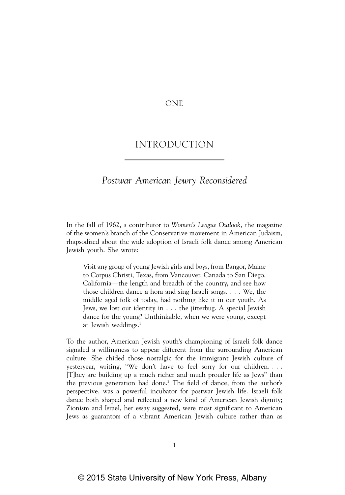ONE

## INTRODUCTION

# *Postwar American Jewry Reconsidered*

In the fall of 1962, a contributor to *Women's League Outlook,* the magazine of the women's branch of the Conservative movement in American Judaism, rhapsodized about the wide adoption of Israeli folk dance among American Jewish youth. She wrote:

Visit any group of young Jewish girls and boys, from Bangor, Maine to Corpus Christi, Texas, from Vancouver, Canada to San Diego, California—the length and breadth of the country, and see how those children dance a hora and sing Israeli songs. . . . We, the middle aged folk of today, had nothing like it in our youth. As Jews, we lost our identity in . . . the jitterbug. A special Jewish dance for the young? Unthinkable, when we were young, except at Jewish weddings.1

To the author, American Jewish youth's championing of Israeli folk dance signaled a willingness to appear different from the surrounding American culture. She chided those nostalgic for the immigrant Jewish culture of yesteryear, writing, "We don't have to feel sorry for our children. . . . [T]hey are building up a much richer and much prouder life as Jews" than the previous generation had done.<sup>2</sup> The field of dance, from the author's perspective, was a powerful incubator for postwar Jewish life. Israeli folk dance both shaped and reflected a new kind of American Jewish dignity; Zionism and Israel, her essay suggested, were most significant to American Jews as guarantors of a vibrant American Jewish culture rather than as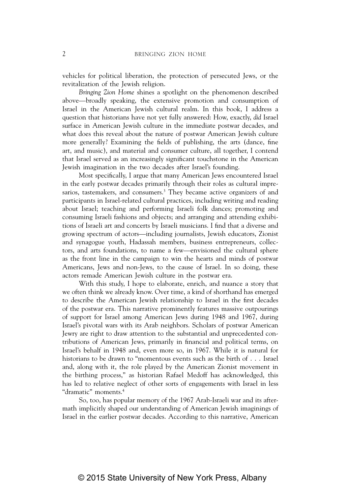vehicles for political liberation, the protection of persecuted Jews, or the revitalization of the Jewish religion.

*Bringing Zion Home* shines a spotlight on the phenomenon described above—broadly speaking, the extensive promotion and consumption of Israel in the American Jewish cultural realm. In this book, I address a question that historians have not yet fully answered: How, exactly, *did* Israel surface in American Jewish culture in the immediate postwar decades, and what does this reveal about the nature of postwar American Jewish culture more generally? Examining the fields of publishing, the arts (dance, fine art, and music), and material and consumer culture, all together, I contend that Israel served as an increasingly significant touchstone in the American Jewish imagination in the two decades after Israel's founding.

Most specifically, I argue that many American Jews encountered Israel in the early postwar decades primarily through their roles as cultural impresarios, tastemakers, and consumers.<sup>3</sup> They became active organizers of and participants in Israel-related cultural practices, including writing and reading about Israel; teaching and performing Israeli folk dances; promoting and consuming Israeli fashions and objects; and arranging and attending exhibitions of Israeli art and concerts by Israeli musicians. I find that a diverse and growing spectrum of actors—including journalists, Jewish educators, Zionist and synagogue youth, Hadassah members, business entrepreneurs, collectors, and arts foundations, to name a few—envisioned the cultural sphere as the front line in the campaign to win the hearts and minds of postwar Americans, Jews and non‑Jews, to the cause of Israel. In so doing, these actors remade American Jewish culture in the postwar era.

With this study, I hope to elaborate, enrich, and nuance a story that we often think we already know. Over time, a kind of shorthand has emerged to describe the American Jewish relationship to Israel in the first decades of the postwar era. This narrative prominently features massive outpourings of support for Israel among American Jews during 1948 and 1967, during Israel's pivotal wars with its Arab neighbors. Scholars of postwar American Jewry are right to draw attention to the substantial and unprecedented contributions of American Jews, primarily in financial and political terms, on Israel's behalf in 1948 and, even more so, in 1967. While it is natural for historians to be drawn to "momentous events such as the birth of . . . Israel and, along with it, the role played by the American Zionist movement in the birthing process," as historian Rafael Medoff has acknowledged, this has led to relative neglect of other sorts of engagements with Israel in less "dramatic" moments.4

So, too, has popular memory of the 1967 Arab-Israeli war and its aftermath implicitly shaped our understanding of American Jewish imaginings of Israel in the earlier postwar decades. According to this narrative, American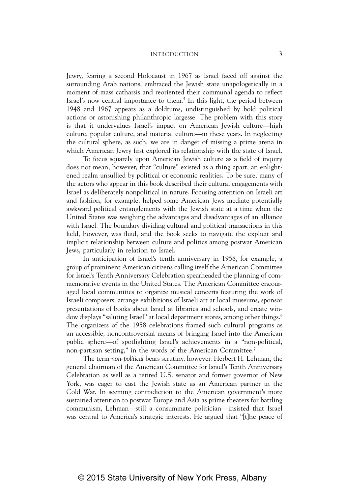Jewry, fearing a second Holocaust in 1967 as Israel faced off against the surrounding Arab nations, embraced the Jewish state unapologetically in a moment of mass catharsis and reoriented their communal agenda to reflect Israel's now central importance to them.<sup>5</sup> In this light, the period between 1948 and 1967 appears as a doldrums, undistinguished by bold political actions or astonishing philanthropic largesse. The problem with this story is that it undervalues Israel's impact on American Jewish culture—high culture, popular culture, and material culture—in these years. In neglecting the cultural sphere, as such, we are in danger of missing a prime arena in which American Jewry first explored its relationship with the state of Israel.

To focus squarely upon American Jewish culture as a field of inquiry does not mean, however, that "culture" existed as a thing apart, an enlightened realm unsullied by political or economic realities. To be sure, many of the actors who appear in this book described their cultural engagements with Israel as deliberately nonpolitical in nature. Focusing attention on Israeli art and fashion, for example, helped some American Jews mediate potentially awkward political entanglements with the Jewish state at a time when the United States was weighing the advantages and disadvantages of an alliance with Israel. The boundary dividing cultural and political transactions in this field, however, was fluid, and the book seeks to navigate the explicit and implicit relationship between culture and politics among postwar American Jews, particularly in relation to Israel.

In anticipation of Israel's tenth anniversary in 1958, for example, a group of prominent American citizens calling itself the American Committee for Israel's Tenth Anniversary Celebration spearheaded the planning of commemorative events in the United States. The American Committee encouraged local communities to organize musical concerts featuring the work of Israeli composers, arrange exhibitions of Israeli art at local museums, sponsor presentations of books about Israel at libraries and schools, and create window displays "saluting Israel" at local department stores, among other things.<sup>6</sup> The organizers of the 1958 celebrations framed such cultural programs as an accessible, noncontroversial means of bringing Israel into the American public sphere—of spotlighting Israel's achievements in a "non‑political, non-partisan setting," in the words of the American Committee.<sup>7</sup>

The term *non‑political* bears scrutiny, however. Herbert H. Lehman, the general chairman of the American Committee for Israel's Tenth Anniversary Celebration as well as a retired U.S. senator and former governor of New York, was eager to cast the Jewish state as an American partner in the Cold War. In seeming contradiction to the American government's more sustained attention to postwar Europe and Asia as prime theaters for battling communism, Lehman—still a consummate politician—insisted that Israel was central to America's strategic interests. He argued that "[t]he peace of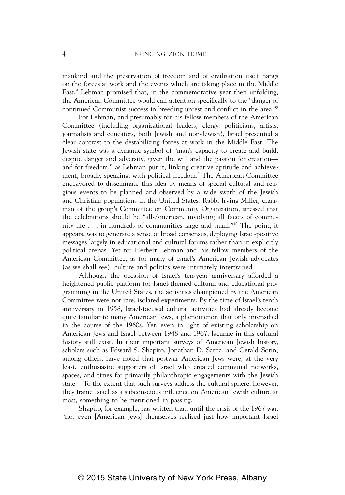mankind and the preservation of freedom and of civilization itself hangs on the forces at work and the events which are taking place in the Middle East." Lehman promised that, in the commemorative year then unfolding, the American Committee would call attention specifically to the "danger of continued Communist success in breeding unrest and conflict in the area."8

For Lehman, and presumably for his fellow members of the American Committee (including organizational leaders, clergy, politicians, artists, journalists and educators, both Jewish and non‑Jewish), Israel presented a clear contrast to the destabilizing forces at work in the Middle East. The Jewish state was a dynamic symbol of "man's capacity to create and build, despite danger and adversity, given the will and the passion for creation and for freedom," as Lehman put it, linking creative aptitude and achievement, broadly speaking, with political freedom.<sup>9</sup> The American Committee endeavored to disseminate this idea by means of special cultural and religious events to be planned and observed by a wide swath of the Jewish and Christian populations in the United States. Rabbi Irving Miller, chairman of the group's Committee on Community Organization, stressed that the celebrations should be "all-American, involving all facets of community life . . . in hundreds of communities large and small."10 The point, it appears, was to generate a sense of broad consensus, deploying Israel‑positive messages largely in educational and cultural forums rather than in explicitly political arenas. Yet for Herbert Lehman and his fellow members of the American Committee, as for many of Israel's American Jewish advocates (as we shall see), culture and politics were intimately intertwined.

Although the occasion of Israel's ten‑year anniversary afforded a heightened public platform for Israel-themed cultural and educational programming in the United States, the activities championed by the American Committee were not rare, isolated experiments. By the time of Israel's tenth anniversary in 1958, Israel-focused cultural activities had already become quite familiar to many American Jews, a phenomenon that only intensified in the course of the 1960s. Yet, even in light of existing scholarship on American Jews and Israel between 1948 and 1967, lacunae in this cultural history still exist. In their important surveys of American Jewish history, scholars such as Edward S. Shapiro, Jonathan D. Sarna, and Gerald Sorin, among others, have noted that postwar American Jews were, at the very least, enthusiastic supporters of Israel who created communal networks, spaces, and times for primarily philanthropic engagements with the Jewish state.11 To the extent that such surveys address the cultural sphere, however, they frame Israel as a subconscious influence on American Jewish culture at most, something to be mentioned in passing.

Shapiro, for example, has written that, until the crisis of the 1967 war, "not even [American Jews] themselves realized just how important Israel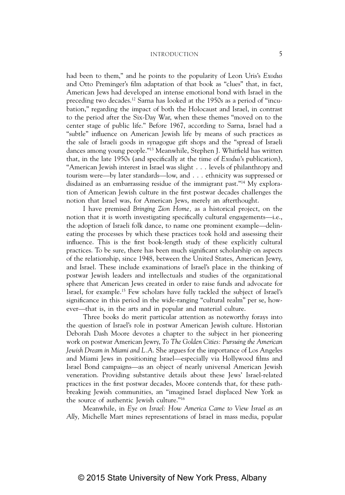had been to them," and he points to the popularity of Leon Uris's *Exodus* and Otto Preminger's film adaptation of that book as "clues" that, in fact, American Jews had developed an intense emotional bond with Israel in the preceding two decades.<sup>12</sup> Sarna has looked at the 1950s as a period of "incubation," regarding the impact of both the Holocaust and Israel, in contrast to the period after the Six-Day War, when these themes "moved on to the center stage of public life." Before 1967, according to Sarna, Israel had a "subtle" influence on American Jewish life by means of such practices as the sale of Israeli goods in synagogue gift shops and the "spread of Israeli dances among young people."13 Meanwhile, Stephen J. Whitfield has written that, in the late 1950s (and specifically at the time of *Exodus*'s publication), "American Jewish interest in Israel was slight . . . levels of philanthropy and tourism were—by later standards—low, and . . . ethnicity was suppressed or disdained as an embarrassing residue of the immigrant past."<sup>14</sup> My exploration of American Jewish culture in the first postwar decades challenges the notion that Israel was, for American Jews, merely an afterthought.

I have premised *Bringing Zion Home,* as a historical project, on the notion that it is worth investigating specifically cultural engagements—i.e., the adoption of Israeli folk dance, to name one prominent example—delineating the processes by which these practices took hold and assessing their influence. This is the first book‑length study of these explicitly cultural practices. To be sure, there has been much significant scholarship on aspects of the relationship, since 1948, between the United States, American Jewry, and Israel. These include examinations of Israel's place in the thinking of postwar Jewish leaders and intellectuals and studies of the organizational sphere that American Jews created in order to raise funds and advocate for Israel, for example.15 Few scholars have fully tackled the subject of Israel's significance in this period in the wide-ranging "cultural realm" per se, however—that is, in the arts and in popular and material culture.

Three books do merit particular attention as noteworthy forays into the question of Israel's role in postwar American Jewish culture. Historian Deborah Dash Moore devotes a chapter to the subject in her pioneering work on postwar American Jewry, *To The Golden Cities: Pursuing the American Jewish Dream in Miami and L.A*. She argues for the importance of Los Angeles and Miami Jews in positioning Israel—especially via Hollywood films and Israel Bond campaigns—as an object of nearly universal American Jewish veneration. Providing substantive details about these Jews' Israel-related practices in the first postwar decades, Moore contends that, for these pathbreaking Jewish communities, an "imagined Israel displaced New York as the source of authentic Jewish culture."16

Meanwhile, in *Eye on Israel: How America Came to View Israel as an Ally,* Michelle Mart mines representations of Israel in mass media, popular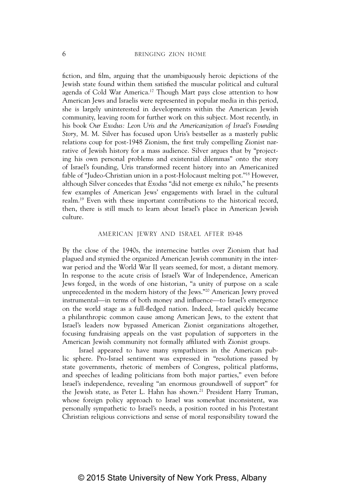fiction, and film, arguing that the unambiguously heroic depictions of the Jewish state found within them satisfied the muscular political and cultural agenda of Cold War America.<sup>17</sup> Though Mart pays close attention to how American Jews and Israelis were represented in popular media in this period, she is largely uninterested in developments within the American Jewish community, leaving room for further work on this subject. Most recently, in his book *Our Exodus: Leon Uris and the Americanization of Israel's Founding Story,* M. M. Silver has focused upon Uris's bestseller as a masterly public relations coup for post-1948 Zionism, the first truly compelling Zionist narrative of Jewish history for a mass audience. Silver argues that by "projecting his own personal problems and existential dilemmas" onto the story of Israel's founding, Uris transformed recent history into an Americanized fable of "Judeo-Christian union in a post-Holocaust melting pot."<sup>18</sup> However, although Silver concedes that *Exodus* "did not emerge ex nihilo," he presents few examples of American Jews' engagements with Israel in the cultural realm.19 Even with these important contributions to the historical record, then, there is still much to learn about Israel's place in American Jewish culture.

#### AMERICAN JEWRY AND ISRAEL AFTER 1948

By the close of the 1940s, the internecine battles over Zionism that had plagued and stymied the organized American Jewish community in the interwar period and the World War II years seemed, for most, a distant memory. In response to the acute crisis of Israel's War of Independence, American Jews forged, in the words of one historian, "a unity of purpose on a scale unprecedented in the modern history of the Jews."20 American Jewry proved instrumental—in terms of both money and influence—to Israel's emergence on the world stage as a full‑fledged nation. Indeed, Israel quickly became a philanthropic common cause among American Jews, to the extent that Israel's leaders now bypassed American Zionist organizations altogether, focusing fundraising appeals on the vast population of supporters in the American Jewish community not formally affiliated with Zionist groups.

Israel appeared to have many sympathizers in the American public sphere. Pro‑Israel sentiment was expressed in "resolutions passed by state governments, rhetoric of members of Congress, political platforms, and speeches of leading politicians from both major parties," even before Israel's independence, revealing "an enormous groundswell of support" for the Jewish state, as Peter L. Hahn has shown.<sup>21</sup> President Harry Truman, whose foreign policy approach to Israel was somewhat inconsistent, was personally sympathetic to Israel's needs, a position rooted in his Protestant Christian religious convictions and sense of moral responsibility toward the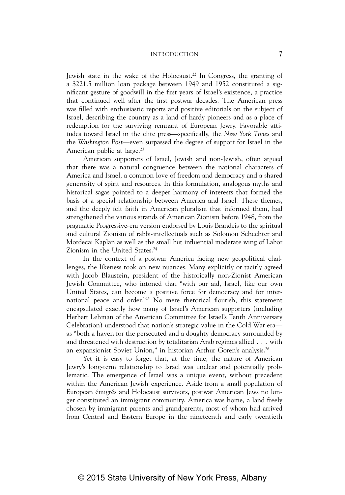Jewish state in the wake of the Holocaust.<sup>22</sup> In Congress, the granting of a \$221.5 million loan package between 1949 and 1952 constituted a significant gesture of goodwill in the first years of Israel's existence, a practice that continued well after the first postwar decades. The American press was filled with enthusiastic reports and positive editorials on the subject of Israel, describing the country as a land of hardy pioneers and as a place of redemption for the surviving remnant of European Jewry. Favorable attitudes toward Israel in the elite press—specifically, the *New York Times* and the *Washington Post*—even surpassed the degree of support for Israel in the American public at large.<sup>23</sup>

American supporters of Israel, Jewish and non‑Jewish, often argued that there was a natural congruence between the national characters of America and Israel, a common love of freedom and democracy and a shared generosity of spirit and resources. In this formulation, analogous myths and historical sagas pointed to a deeper harmony of interests that formed the basis of a special relationship between America and Israel. These themes, and the deeply felt faith in American pluralism that informed them, had strengthened the various strands of American Zionism before 1948, from the pragmatic Progressive‑era version endorsed by Louis Brandeis to the spiritual and cultural Zionism of rabbi‑intellectuals such as Solomon Schechter and Mordecai Kaplan as well as the small but influential moderate wing of Labor Zionism in the United States.<sup>24</sup>

In the context of a postwar America facing new geopolitical challenges, the likeness took on new nuances. Many explicitly or tacitly agreed with Jacob Blaustein, president of the historically non-Zionist American Jewish Committee, who intoned that "with our aid, Israel, like our own United States, can become a positive force for democracy and for international peace and order."<sup>25</sup> No mere rhetorical flourish, this statement encapsulated exactly how many of Israel's American supporters (including Herbert Lehman of the American Committee for Israel's Tenth Anniversary Celebration) understood that nation's strategic value in the Cold War era as "both a haven for the persecuted and a doughty democracy surrounded by and threatened with destruction by totalitarian Arab regimes allied . . . with an expansionist Soviet Union," in historian Arthur Goren's analysis.<sup>26</sup>

Yet it is easy to forget that, at the time, the nature of American Jewry's long‑term relationship to Israel was unclear and potentially prob‑ lematic. The emergence of Israel was a unique event, without precedent within the American Jewish experience. Aside from a small population of European émigrés and Holocaust survivors, postwar American Jews no longer constituted an immigrant community. America was home, a land freely chosen by immigrant parents and grandparents, most of whom had arrived from Central and Eastern Europe in the nineteenth and early twentieth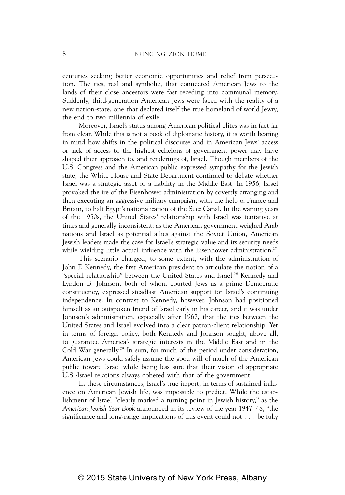centuries seeking better economic opportunities and relief from persecution. The ties, real and symbolic, that connected American Jews to the lands of their close ancestors were fast receding into communal memory. Suddenly, third‑generation American Jews were faced with the reality of a new nation‑state, one that declared itself the true homeland of world Jewry, the end to two millennia of exile.

Moreover, Israel's status among American political elites was in fact far from clear. While this is not a book of diplomatic history, it is worth bearing in mind how shifts in the political discourse and in American Jews' access or lack of access to the highest echelons of government power may have shaped their approach to, and renderings of, Israel. Though members of the U.S. Congress and the American public expressed sympathy for the Jewish state, the White House and State Department continued to debate whether Israel was a strategic asset or a liability in the Middle East. In 1956, Israel provoked the ire of the Eisenhower administration by covertly arranging and then executing an aggressive military campaign, with the help of France and Britain, to halt Egypt's nationalization of the Suez Canal. In the waning years of the 1950s, the United States' relationship with Israel was tentative at times and generally inconsistent; as the American government weighed Arab nations and Israel as potential allies against the Soviet Union, American Jewish leaders made the case for Israel's strategic value and its security needs while wielding little actual influence with the Eisenhower administration.<sup>27</sup>

This scenario changed, to some extent, with the administration of John F. Kennedy, the first American president to articulate the notion of a "special relationship" between the United States and Israel.<sup>28</sup> Kennedy and Lyndon B. Johnson, both of whom courted Jews as a prime Democratic constituency, expressed steadfast American support for Israel's continuing independence. In contrast to Kennedy, however, Johnson had positioned himself as an outspoken friend of Israel early in his career, and it was under Johnson's administration, especially after 1967, that the ties between the United States and Israel evolved into a clear patron‑client relationship. Yet in terms of foreign policy, both Kennedy and Johnson sought, above all, to guarantee America's strategic interests in the Middle East and in the Cold War generally.<sup>29</sup> In sum, for much of the period under consideration, American Jews could safely assume the good will of much of the American public toward Israel while being less sure that their vision of appropriate U.S.‑Israel relations always cohered with that of the government.

In these circumstances, Israel's true import, in terms of sustained influence on American Jewish life, was impossible to predict. While the establishment of Israel "clearly marked a turning point in Jewish history," as the *American Jewish Year Book* announced in its review of the year 1947–48, "the significance and long-range implications of this event could not  $\dots$  be fully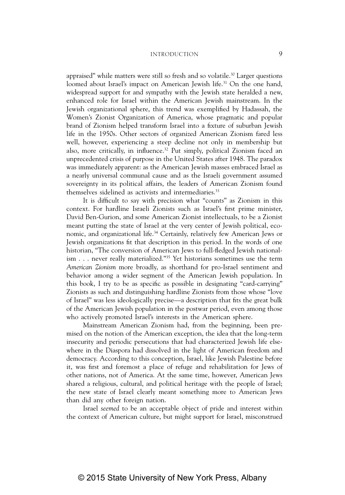appraised" while matters were still so fresh and so volatile.<sup>30</sup> Larger questions loomed about Israel's impact on American Jewish life.<sup>31</sup> On the one hand, widespread support for and sympathy with the Jewish state heralded a new, enhanced role for Israel within the American Jewish mainstream. In the Jewish organizational sphere, this trend was exemplified by Hadassah, the Women's Zionist Organization of America, whose pragmatic and popular brand of Zionism helped transform Israel into a fixture of suburban Jewish life in the 1950s. Other sectors of organized American Zionism fared less well, however, experiencing a steep decline not only in membership but also, more critically, in influence.<sup>32</sup> Put simply, political Zionism faced an unprecedented crisis of purpose in the United States after 1948. The paradox was immediately apparent: as the American Jewish masses embraced Israel as a nearly universal communal cause and as the Israeli government assumed sovereignty in its political affairs, the leaders of American Zionism found themselves sidelined as activists and intermediaries.<sup>33</sup>

It is difficult to say with precision what "counts" as Zionism in this context. For hardline Israeli Zionists such as Israel's first prime minister, David Ben‑Gurion, and some American Zionist intellectuals, to be a Zionist meant putting the state of Israel at the very center of Jewish political, economic, and organizational life.<sup>34</sup> Certainly, relatively few American Jews or Jewish organizations fit that description in this period. In the words of one historian, "The conversion of American Jews to full-fledged Jewish nationalism . . . never really materialized."35 Yet historians sometimes use the term *American Zionism* more broadly, as shorthand for pro‑Israel sentiment and behavior among a wider segment of the American Jewish population. In this book, I try to be as specific as possible in designating "card‑carrying" Zionists as such and distinguishing hardline Zionists from those whose "love of Israel" was less ideologically precise—a description that fits the great bulk of the American Jewish population in the postwar period, even among those who actively promoted Israel's interests in the American sphere.

Mainstream American Zionism had, from the beginning, been premised on the notion of the American exception, the idea that the long-term insecurity and periodic persecutions that had characterized Jewish life elsewhere in the Diaspora had dissolved in the light of American freedom and democracy. According to this conception, Israel, like Jewish Palestine before it, was first and foremost a place of refuge and rehabilitation for Jews of other nations, not of America. At the same time, however, American Jews shared a religious, cultural, and political heritage with the people of Israel; the new state of Israel clearly meant something more to American Jews than did any other foreign nation.

Israel *seemed* to be an acceptable object of pride and interest within the context of American culture, but might support for Israel, misconstrued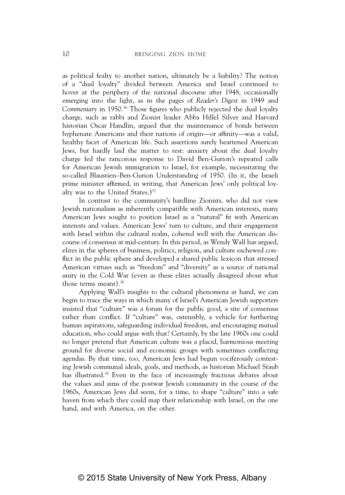as political fealty to another nation, ultimately be a liability? The notion of a "dual loyalty" divided between America and Israel continued to hover at the periphery of the national discourse after 1948, occasionally emerging into the light, as in the pages of *Reader's Digest* in 1949 and *Commentary* in 1950.36 Those figures who publicly rejected the dual loyalty charge, such as rabbi and Zionist leader Abba Hillel Silver and Harvard historian Oscar Handlin, argued that the maintenance of bonds between hyphenate Americans and their nations of origin—or affinity—was a valid, healthy facet of American life. Such assertions surely heartened American Jews, but hardly laid the matter to rest: anxiety about the dual loyalty charge fed the rancorous response to David Ben‑Gurion's repeated calls for American Jewish immigration to Israel, for example, necessitating the so-called Blaustien–Ben-Gurion Understanding of 1950. (In it, the Israeli prime minister affirmed, in writing, that American Jews' only political loyalty was to the United States.)37

In contrast to the community's hardline Zionists, who did not view Jewish nationalism as inherently compatible with American interests, many American Jews sought to position Israel as a "natural" fit with American interests and values. American Jews' turn to culture, and their engagement with Israel within the cultural realm, cohered well with the American discourse of consensus at mid‑century. In this period, as Wendy Wall has argued, elites in the spheres of business, politics, religion, and culture eschewed conflict in the public sphere and developed a shared public lexicon that stressed American virtues such as "freedom" and "diversity" as a source of national unity in the Cold War (even as these elites actually disagreed about what those terms meant).38

Applying Wall's insights to the cultural phenomena at hand, we can begin to trace the ways in which many of Israel's American Jewish supporters insisted that "culture" was a forum for the public good, a site of consensus rather than conflict. If "culture" was, ostensibly, a vehicle for furthering human aspirations, safeguarding individual freedom, and encouraging mutual education, who could argue with that? Certainly, by the late 1960s one could no longer pretend that American culture was a placid, harmonious meeting ground for diverse social and economic groups with sometimes conflicting agendas. By that time, too, American Jews had begun vociferously contesting Jewish communal ideals, goals, and methods, as historian Michael Staub has illustrated.<sup>39</sup> Even in the face of increasingly fractious debates about the values and aims of the postwar Jewish community in the course of the 1960s, American Jews did seem, for a time, to shape "culture" into a safe haven from which they could map their relationship with Israel, on the one hand, and with America, on the other.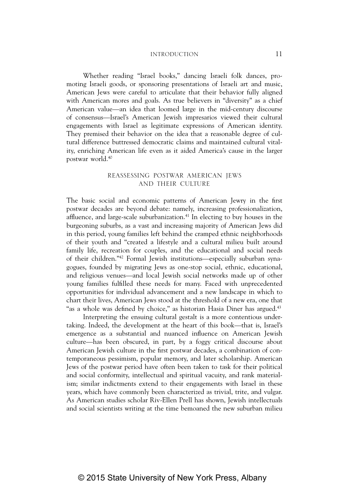Whether reading "Israel books," dancing Israeli folk dances, promoting Israeli goods, or sponsoring presentations of Israeli art and music, American Jews were careful to articulate that their behavior fully aligned with American mores and goals. As true believers in "diversity" as a chief American value—an idea that loomed large in the mid‑century discourse of consensus—Israel's American Jewish impresarios viewed their cultural engagements with Israel as legitimate expressions of American identity. They premised their behavior on the idea that a reasonable degree of cultural difference buttressed democratic claims and maintained cultural vital‑ ity, enriching American life even as it aided America's cause in the larger postwar world.40

## REASSESSING POSTWAR AMERICAN JEWS AND THEIR CULTURE

The basic social and economic patterns of American Jewry in the first postwar decades are beyond debate: namely, increasing professionalization, affluence, and large-scale suburbanization.<sup>41</sup> In electing to buy houses in the burgeoning suburbs, as a vast and increasing majority of American Jews did in this period, young families left behind the cramped ethnic neighborhoods of their youth and "created a lifestyle and a cultural milieu built around family life, recreation for couples, and the educational and social needs of their children."<sup>42</sup> Formal Jewish institutions—especially suburban synagogues, founded by migrating Jews as one‑stop social, ethnic, educational, and religious venues—and local Jewish social networks made up of other young families fulfilled these needs for many. Faced with unprecedented opportunities for individual advancement and a new landscape in which to chart their lives, American Jews stood at the threshold of a new era, one that "as a whole was defined by choice," as historian Hasia Diner has argued.<sup>43</sup>

Interpreting the ensuing cultural gestalt is a more contentious undertaking. Indeed, the development at the heart of this book—that is, Israel's emergence as a substantial and nuanced influence on American Jewish culture—has been obscured, in part, by a foggy critical discourse about American Jewish culture in the first postwar decades, a combination of contemporaneous pessimism, popular memory, and later scholarship. American Jews of the postwar period have often been taken to task for their political and social conformity, intellectual and spiritual vacuity, and rank materialism; similar indictments extend to their engagements with Israel in these years, which have commonly been characterized as trivial, trite, and vulgar. As American studies scholar Riv‑Ellen Prell has shown, Jewish intellectuals and social scientists writing at the time bemoaned the new suburban milieu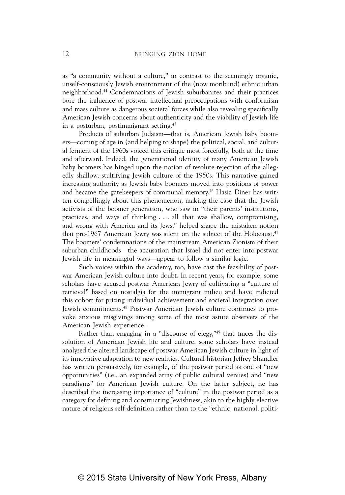as "a community without a culture," in contrast to the seemingly organic, unself-consciously Jewish environment of the (now moribund) ethnic urban neighborhood.44 Condemnations of Jewish suburbanites and their practices bore the influence of postwar intellectual preoccupations with conformism and mass culture as dangerous societal forces while also revealing specifically American Jewish concerns about authenticity and the viability of Jewish life in a posturban, postimmigrant setting.45

Products of suburban Judaism—that is, American Jewish baby boomers—coming of age in (and helping to shape) the political, social, and cultural ferment of the 1960s voiced this critique most forcefully, both at the time and afterward. Indeed, the generational identity of many American Jewish baby boomers has hinged upon the notion of resolute rejection of the allegedly shallow, stultifying Jewish culture of the 1950s. This narrative gained increasing authority as Jewish baby boomers moved into positions of power and became the gatekeepers of communal memory.<sup>46</sup> Hasia Diner has written compellingly about this phenomenon, making the case that the Jewish activists of the boomer generation, who saw in "their parents' institutions, practices, and ways of thinking . . . all that was shallow, compromising, and wrong with America and its Jews," helped shape the mistaken notion that pre-1967 American Jewry was silent on the subject of the Holocaust.<sup>47</sup> The boomers' condemnations of the mainstream American Zionism of their suburban childhoods—the accusation that Israel did not enter into postwar Jewish life in meaningful ways—appear to follow a similar logic.

Such voices within the academy, too, have cast the feasibility of postwar American Jewish culture into doubt. In recent years, for example, some scholars have accused postwar American Jewry of cultivating a "culture of retrieval" based on nostalgia for the immigrant milieu and have indicted this cohort for prizing individual achievement and societal integration over Jewish commitments.<sup>48</sup> Postwar American Jewish culture continues to provoke anxious misgivings among some of the most astute observers of the American Jewish experience.

Rather than engaging in a "discourse of elegy,"<sup>49</sup> that traces the dissolution of American Jewish life and culture, some scholars have instead analyzed the altered landscape of postwar American Jewish culture in light of its innovative adaptation to new realities. Cultural historian Jeffrey Shandler has written persuasively, for example, of the postwar period as one of "new opportunities" (i.e., an expanded array of public cultural venues) and "new paradigms" for American Jewish culture. On the latter subject, he has described the increasing importance of "culture" in the postwar period as a category for defining and constructing Jewishness, akin to the highly elective nature of religious self-definition rather than to the "ethnic, national, politi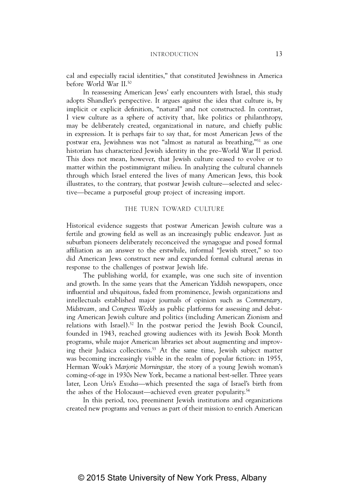cal and especially racial identities," that constituted Jewishness in America before World War II.50

In reassessing American Jews' early encounters with Israel, this study adopts Shandler's perspective. It argues *against* the idea that culture is, by implicit or explicit definition, "natural" and not constructed. In contrast, I view culture as a sphere of activity that, like politics or philanthropy, may be deliberately created, organizational in nature, and chiefly public in expression. It is perhaps fair to say that, for most American Jews of the postwar era, Jewishness was not "almost as natural as breathing,"51 as one historian has characterized Jewish identity in the pre–World War II period. This does not mean, however, that Jewish culture ceased to evolve or to matter within the postimmigrant milieu. In analyzing the cultural channels through which Israel entered the lives of many American Jews, this book illustrates, to the contrary, that postwar Jewish culture—selected and selective—became a purposeful group project of increasing import.

## THE TURN TOWARD CULTURE

Historical evidence suggests that postwar American Jewish culture was a fertile and growing field as well as an increasingly public endeavor. Just as suburban pioneers deliberately reconceived the synagogue and posed formal affiliation as an answer to the erstwhile, informal "Jewish street," so too did American Jews construct new and expanded formal cultural arenas in response to the challenges of postwar Jewish life.

The publishing world, for example, was one such site of invention and growth. In the same years that the American Yiddish newspapers, once influential and ubiquitous, faded from prominence, Jewish organizations and intellectuals established major journals of opinion such as *Commentary, Midstream,* and *Congress Weekly* as public platforms for assessing and debat‑ ing American Jewish culture and politics (including American Zionism and relations with Israel).<sup>52</sup> In the postwar period the Jewish Book Council, founded in 1943, reached growing audiences with its Jewish Book Month programs, while major American libraries set about augmenting and improving their Judaica collections.53 At the same time, Jewish subject matter was becoming increasingly visible in the realm of popular fiction: in 1955, Herman Wouk's *Marjorie Morningstar,* the story of a young Jewish woman's coming‑of‑age in 1930s New York, became a national best‑seller. Three years later, Leon Uris's *Exodus*—which presented the saga of Israel's birth from the ashes of the Holocaust—achieved even greater popularity.<sup>54</sup>

In this period, too, preeminent Jewish institutions and organizations created new programs and venues as part of their mission to enrich American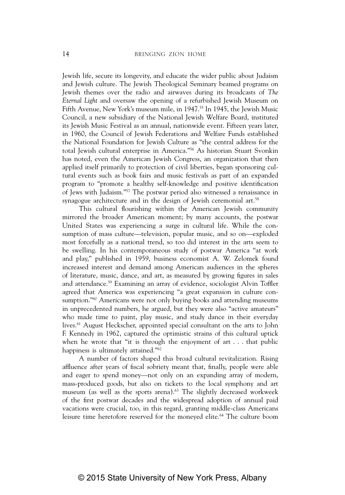Jewish life, secure its longevity, and educate the wider public about Judaism and Jewish culture. The Jewish Theological Seminary beamed programs on Jewish themes over the radio and airwaves during its broadcasts of *The Eternal Light* and oversaw the opening of a refurbished Jewish Museum on Fifth Avenue, New York's museum mile, in 1947.<sup>55</sup> In 1945, the Jewish Music Council, a new subsidiary of the National Jewish Welfare Board, instituted its Jewish Music Festival as an annual, nationwide event. Fifteen years later, in 1960, the Council of Jewish Federations and Welfare Funds established the National Foundation for Jewish Culture as "the central address for the total Jewish cultural enterprise in America."56 As historian Stuart Svonkin has noted, even the American Jewish Congress, an organization that then applied itself primarily to protection of civil liberties, began sponsoring cultural events such as book fairs and music festivals as part of an expanded program to "promote a healthy self‑knowledge and positive identification of Jews with Judaism."57 The postwar period also witnessed a renaissance in synagogue architecture and in the design of Jewish ceremonial art.<sup>58</sup>

This cultural flourishing within the American Jewish community mirrored the broader American moment; by many accounts, the postwar United States was experiencing a surge in cultural life. While the consumption of mass culture—television, popular music, and so on—exploded most forcefully as a national trend, so too did interest in the arts seem to be swelling. In his contemporaneous study of postwar America "at work and play," published in 1959, business economist A. W. Zelomek found increased interest and demand among American audiences in the spheres of literature, music, dance, and art, as measured by growing figures in sales and attendance.<sup>59</sup> Examining an array of evidence, sociologist Alvin Toffler agreed that America was experiencing "a great expansion in culture consumption."<sup>60</sup> Americans were not only buying books and attending museums in unprecedented numbers, he argued, but they were also "active amateurs" who made time to paint, play music, and study dance in their everyday lives.<sup>61</sup> August Heckscher, appointed special consultant on the arts to John F. Kennedy in 1962, captured the optimistic strains of this cultural uptick when he wrote that "it is through the enjoyment of  $art \dots$  that public happiness is ultimately attained."62

A number of factors shaped this broad cultural revitalization. Rising affluence after years of fiscal sobriety meant that, finally, people were able and eager to spend money—not only on an expanding array of modern, mass‑produced goods, but also on tickets to the local symphony and art museum (as well as the sports arena).<sup>63</sup> The slightly decreased workweek of the first postwar decades and the widespread adoption of annual paid vacations were crucial, too, in this regard, granting middle‑class Americans leisure time heretofore reserved for the moneyed elite.64 The culture boom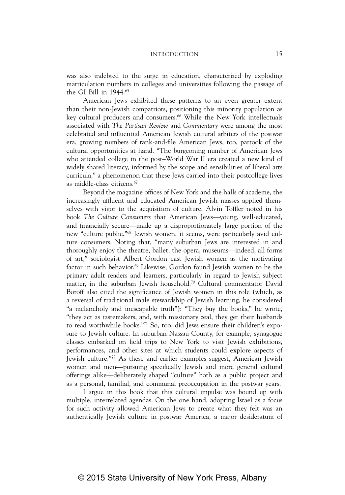was also indebted to the surge in education, characterized by exploding matriculation numbers in colleges and universities following the passage of the GI Bill in 1944.65

American Jews exhibited these patterns to an even greater extent than their non‑Jewish compatriots, positioning this minority population as key cultural producers and consumers.<sup>66</sup> While the New York intellectuals associated with *The Partisan Review* and *Commentary* were among the most celebrated and influential American Jewish cultural arbiters of the postwar era, growing numbers of rank‑and‑file American Jews, too, partook of the cultural opportunities at hand. "The burgeoning number of American Jews who attended college in the post–World War II era created a new kind of widely shared literacy, informed by the scope and sensibilities of liberal arts curricula," a phenomenon that these Jews carried into their postcollege lives as middle-class citizens.<sup>67</sup>

Beyond the magazine offices of New York and the halls of academe, the increasingly affluent and educated American Jewish masses applied themselves with vigor to the acquisition of culture. Alvin Toffler noted in his book *The Culture Consumers* that American Jews—young, well‑educated, and financially secure—made up a disproportionately large portion of the new "culture public."<sup>68</sup> Jewish women, it seems, were particularly avid culture consumers. Noting that, "many suburban Jews are interested in and thoroughly enjoy the theatre, ballet, the opera, museums—indeed, all forms of art," sociologist Albert Gordon cast Jewish women as the motivating factor in such behavior.<sup>69</sup> Likewise, Gordon found Jewish women to be the primary adult readers and learners, particularly in regard to Jewish subject matter, in the suburban Jewish household.<sup>70</sup> Cultural commentator David Boroff also cited the significance of Jewish women in this role (which, as a reversal of traditional male stewardship of Jewish learning, he considered "a melancholy and inescapable truth"): "They buy the books," he wrote, "they act as tastemakers, and, with missionary zeal, they get their husbands to read worthwhile books."<sup>71</sup> So, too, did Jews ensure their children's exposure to Jewish culture. In suburban Nassau County, for example, synagogue classes embarked on field trips to New York to visit Jewish exhibitions, performances, and other sites at which students could explore aspects of Jewish culture."72 As these and earlier examples suggest, American Jewish women and men—pursuing specifically Jewish and more general cultural offerings alike—deliberately shaped "culture" both as a public project and as a personal, familial, and communal preoccupation in the postwar years.

I argue in this book that this cultural impulse was bound up with multiple, interrelated agendas. On the one hand, adopting Israel as a focus for such activity allowed American Jews to create what they felt was an authentically Jewish culture in postwar America, a major desideratum of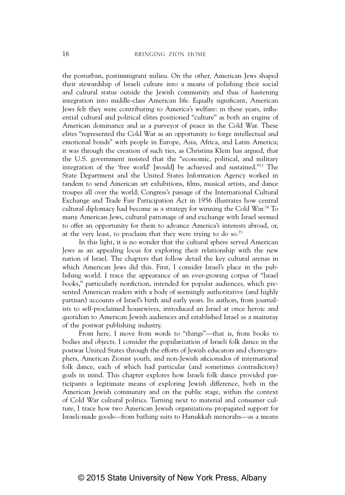the posturban, postimmigrant milieu. On the other, American Jews shaped their stewardship of Israeli culture into a means of polishing their social and cultural status outside the Jewish community and thus of hastening integration into middle-class American life. Equally significant, American Jews felt they were contributing to America's welfare: in these years, influential cultural and political elites positioned "culture" as both an engine of American dominance and as a purveyor of peace in the Cold War. These elites "represented the Cold War as an opportunity to forge intellectual and emotional bonds" with people in Europe, Asia, Africa, and Latin America; it was through the creation of such ties, as Christina Klein has argued, that the U.S. government insisted that the "economic, political, and military integration of the 'free world' [would] be achieved and sustained."73 The State Department and the United States Information Agency worked in tandem to send American art exhibitions, films, musical artists, and dance troupes all over the world; Congress's passage of the International Cultural Exchange and Trade Fair Participation Act in 1956 illustrates how central cultural diplomacy had become as a strategy for winning the Cold War.74 To many American Jews, cultural patronage of and exchange with Israel seemed to offer an opportunity for them to advance America's interests abroad, or, at the very least, to proclaim that they were trying to do so.75

In this light, it is no wonder that the cultural sphere served American Jews as an appealing locus for exploring their relationship with the new nation of Israel. The chapters that follow detail the key cultural arenas in which American Jews did this. First, I consider Israel's place in the publishing world. I trace the appearance of an ever-growing corpus of "Israel" books," particularly nonfiction, intended for popular audiences, which presented American readers with a body of seemingly authoritative (and highly partisan) accounts of Israel's birth and early years. Its authors, from journalists to self‑proclaimed housewives, introduced an Israel at once heroic and quotidian to American Jewish audiences and established Israel as a mainstay of the postwar publishing industry.

From here, I move from words to "things"—that is, from books to bodies and objects. I consider the popularization of Israeli folk dance in the postwar United States through the efforts of Jewish educators and choreographers, American Zionist youth, and non‑Jewish aficionados of international folk dance, each of which had particular (and sometimes contradictory) goals in mind. This chapter explores how Israeli folk dance provided participants a legitimate means of exploring Jewish difference, both in the American Jewish community and on the public stage, within the context of Cold War cultural politics. Turning next to material and consumer culture, I trace how two American Jewish organizations propagated support for Israeli‑made goods—from bathing suits to Hanukkah menorahs—as a means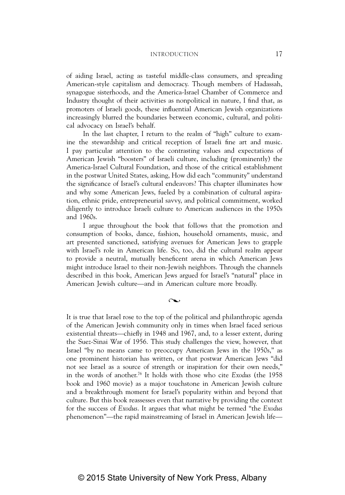of aiding Israel, acting as tasteful middle‑class consumers, and spreading American‑style capitalism and democracy. Though members of Hadassah, synagogue sisterhoods, and the America-Israel Chamber of Commerce and Industry thought of their activities as nonpolitical in nature, I find that, as promoters of Israeli goods, these influential American Jewish organizations increasingly blurred the boundaries between economic, cultural, and political advocacy on Israel's behalf.

In the last chapter, I return to the realm of "high" culture to examine the stewardship and critical reception of Israeli fine art and music. I pay particular attention to the contrasting values and expectations of American Jewish "boosters" of Israeli culture, including (prominently) the America‑Israel Cultural Foundation, and those of the critical establishment in the postwar United States, asking, How did each "community" understand the significance of Israel's cultural endeavors? This chapter illuminates how and why some American Jews, fueled by a combination of cultural aspiration, ethnic pride, entrepreneurial savvy, and political commitment, worked diligently to introduce Israeli culture to American audiences in the 1950s and 1960s.

I argue throughout the book that follows that the promotion and consumption of books, dance, fashion, household ornaments, music, and art presented sanctioned, satisfying avenues for American Jews to grapple with Israel's role in American life. So, too, did the cultural realm appear to provide a neutral, mutually beneficent arena in which American Jews might introduce Israel to their non‑Jewish neighbors. Through the channels described in this book, American Jews argued for Israel's "natural" place in American Jewish culture—and in American culture more broadly.

 $\sim$ 

It is true that Israel rose to the top of the political and philanthropic agenda of the American Jewish community only in times when Israel faced serious existential threats—chiefly in 1948 and 1967, and, to a lesser extent, during the Suez‑Sinai War of 1956. This study challenges the view, however, that Israel "by no means came to preoccupy American Jews in the 1950s," as one prominent historian has written, or that postwar American Jews "did not see Israel as a source of strength or inspiration for their own needs," in the words of another.76 It holds with those who cite *Exodus* (the 1958 book and 1960 movie) as a major touchstone in American Jewish culture and a breakthrough moment for Israel's popularity within and beyond that culture. But this book reassesses even that narrative by providing the context for the success of *Exodus*. It argues that what might be termed "the *Exodus* phenomenon"—the rapid mainstreaming of Israel in American Jewish life